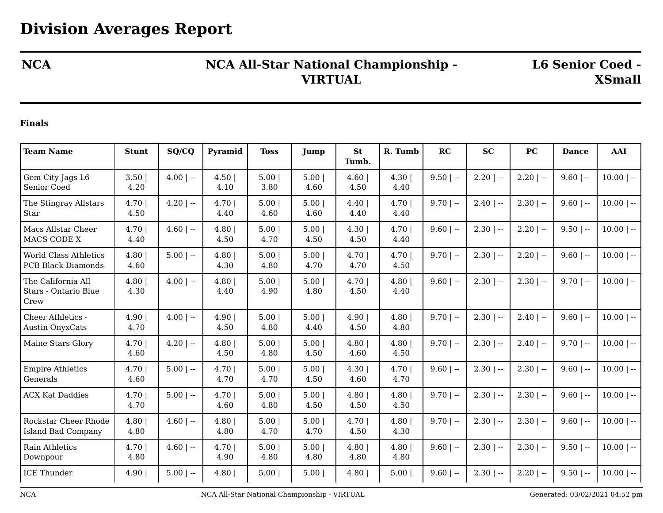## **NCA NCA All-Star National Championship - VIRTUAL**

**L6 Senior Coed - XSmall**

## **Finals**

| <b>Team Name</b>                                          | <b>Stunt</b>   | SQ/CQ        | Pyramid      | <b>Toss</b>  | Jump         | <b>St</b>     | R. Tumb      | RC           | <b>SC</b>    | <b>PC</b>    | <b>Dance</b> | AAI          |
|-----------------------------------------------------------|----------------|--------------|--------------|--------------|--------------|---------------|--------------|--------------|--------------|--------------|--------------|--------------|
|                                                           |                |              |              |              |              | Tumb.         |              |              |              |              |              |              |
| Gem City Jags L6<br>Senior Coed                           | 3.50<br>4.20   | $4.00$   --  | 4.50<br>4.10 | 5.00<br>3.80 | 5.00<br>4.60 | 4.60<br>4.50  | 4.30<br>4.40 | $9.50$   --  | $2.20$   $-$ | $2.20$   --  | $9.60$   --  | $10.00$   -- |
| The Stingray Allstars<br>Star                             | 4.70<br>4.50   | $4.20$   $-$ | 4.70<br>4.40 | 5.00<br>4.60 | 5.00<br>4.60 | 4.40<br>4.40  | 4.70<br>4.40 | $9.70$   --  | $2.40$   $-$ | $2.30$   --  | $9.60$   --  | $10.00$   -- |
| Macs Allstar Cheer<br>MACS CODE X                         | 4.70  <br>4.40 | $4.60$   --  | 4.80<br>4.50 | 5.00<br>4.70 | 5.00<br>4.50 | 4.30<br>4.50  | 4.70<br>4.40 | $9.60$   $-$ | $2.30$   --  | $2.20$   $-$ | $9.50$   --  | $10.00$   -- |
| <b>World Class Athletics</b><br><b>PCB Black Diamonds</b> | 4.80<br>4.60   | $5.00$   --  | 4.80<br>4.30 | 5.00<br>4.80 | 5.00<br>4.70 | 4.70 <br>4.70 | 4.70<br>4.50 | $9.70$   --  | $2.30$   $-$ | $2.20$   $-$ | $9.60$   --  | $10.00$   -- |
| The California All<br>Stars - Ontario Blue<br>Crew        | 4.80<br>4.30   | $4.00$   --  | 4.80<br>4.40 | 5.00<br>4.90 | 5.00<br>4.80 | 4.70 <br>4.50 | 4.80<br>4.40 | $9.60$   --  | $2.30$   --  | $2.30$   --  | $9.70$   --  | $10.00$   -- |
| Cheer Athletics -<br><b>Austin OnyxCats</b>               | 4.90 <br>4.70  | $4.00$   --  | 4.90<br>4.50 | 5.00<br>4.80 | 5.00<br>4.40 | 4.90 <br>4.50 | 4.80<br>4.80 | $9.70$   --  | $2.30$   --  | $2.40$   --  | $9.60$   --  | $10.00$   -- |
| Maine Stars Glory                                         | 4.70<br>4.60   | $4.20$   $-$ | 4.80<br>4.50 | 5.00<br>4.80 | 5.00<br>4.50 | 4.80<br>4.60  | 4.80<br>4.50 | $9.70$   --  | $2.30$   --  | $2.40$   --  | $9.70$   --  | $10.00$   -- |
| <b>Empire Athletics</b><br>Generals                       | 4.70<br>4.60   | $5.00$   --  | 4.70<br>4.70 | 5.00<br>4.70 | 5.00<br>4.50 | 4.30<br>4.60  | 4.70<br>4.70 | $9.60$   --  | $2.30$   --  | $2.30$   --  | $9.60$   --  | $10.00$   -- |
| <b>ACX Kat Daddies</b>                                    | 4.70 <br>4.70  | $5.00$   --  | 4.70<br>4.60 | 5.00<br>4.80 | 5.00<br>4.50 | 4.80<br>4.50  | 4.80<br>4.50 | $9.70$   --  | $2.30$   $-$ | $2.30$   --  | $9.60$   --  | $10.00$   -- |
| Rockstar Cheer Rhode<br><b>Island Bad Company</b>         | 4.80<br>4.80   | $4.60$   --  | 4.80<br>4.80 | 5.00<br>4.70 | 5.00<br>4.70 | 4.70<br>4.50  | 4.80<br>4.30 | $9.70$   --  | $2.30$   --  | $2.30$   --  | $9.60$   --  | $10.00$   -- |
| Rain Athletics<br>Downpour                                | 4.70<br>4.80   | $4.60$   --  | 4.70<br>4.90 | 5.00<br>4.80 | 5.00<br>4.80 | 4.80<br>4.80  | 4.80<br>4.80 | $9.60$   --  | $2.30$   $-$ | $2.30$   --  | $9.50$   --  | $10.00$   -- |
| <b>ICE Thunder</b>                                        | 4.90           | $5.00$   --  | 4.80         | 5.00         | 5.00         | 4.80          | 5.00         | $9.60$   --  | $2.30$   --  | $2.20$   --  | $9.50$   --  | $10.00$   -- |